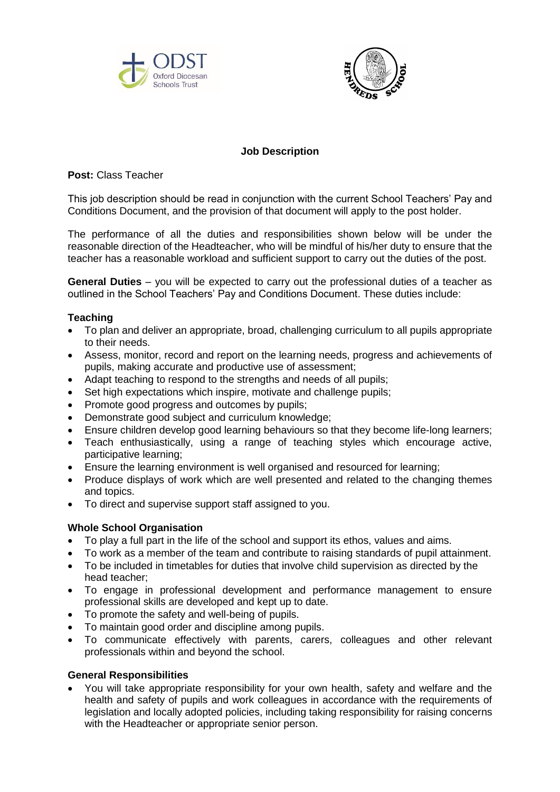



# **Job Description**

**Post:** Class Teacher

This job description should be read in conjunction with the current School Teachers' Pay and Conditions Document, and the provision of that document will apply to the post holder.

The performance of all the duties and responsibilities shown below will be under the reasonable direction of the Headteacher, who will be mindful of his/her duty to ensure that the teacher has a reasonable workload and sufficient support to carry out the duties of the post.

**General Duties** – you will be expected to carry out the professional duties of a teacher as outlined in the School Teachers' Pay and Conditions Document. These duties include:

## **Teaching**

- To plan and deliver an appropriate, broad, challenging curriculum to all pupils appropriate to their needs.
- Assess, monitor, record and report on the learning needs, progress and achievements of pupils, making accurate and productive use of assessment;
- Adapt teaching to respond to the strengths and needs of all pupils;
- Set high expectations which inspire, motivate and challenge pupils;
- Promote good progress and outcomes by pupils;
- Demonstrate good subject and curriculum knowledge;
- Ensure children develop good learning behaviours so that they become life-long learners;
- Teach enthusiastically, using a range of teaching styles which encourage active, participative learning;
- Ensure the learning environment is well organised and resourced for learning;
- Produce displays of work which are well presented and related to the changing themes and topics.
- To direct and supervise support staff assigned to you.

### **Whole School Organisation**

- To play a full part in the life of the school and support its ethos, values and aims.
- To work as a member of the team and contribute to raising standards of pupil attainment.
- To be included in timetables for duties that involve child supervision as directed by the head teacher;
- To engage in professional development and performance management to ensure professional skills are developed and kept up to date.
- To promote the safety and well-being of pupils.
- To maintain good order and discipline among pupils.
- To communicate effectively with parents, carers, colleagues and other relevant professionals within and beyond the school.

### **General Responsibilities**

 You will take appropriate responsibility for your own health, safety and welfare and the health and safety of pupils and work colleagues in accordance with the requirements of legislation and locally adopted policies, including taking responsibility for raising concerns with the Headteacher or appropriate senior person.